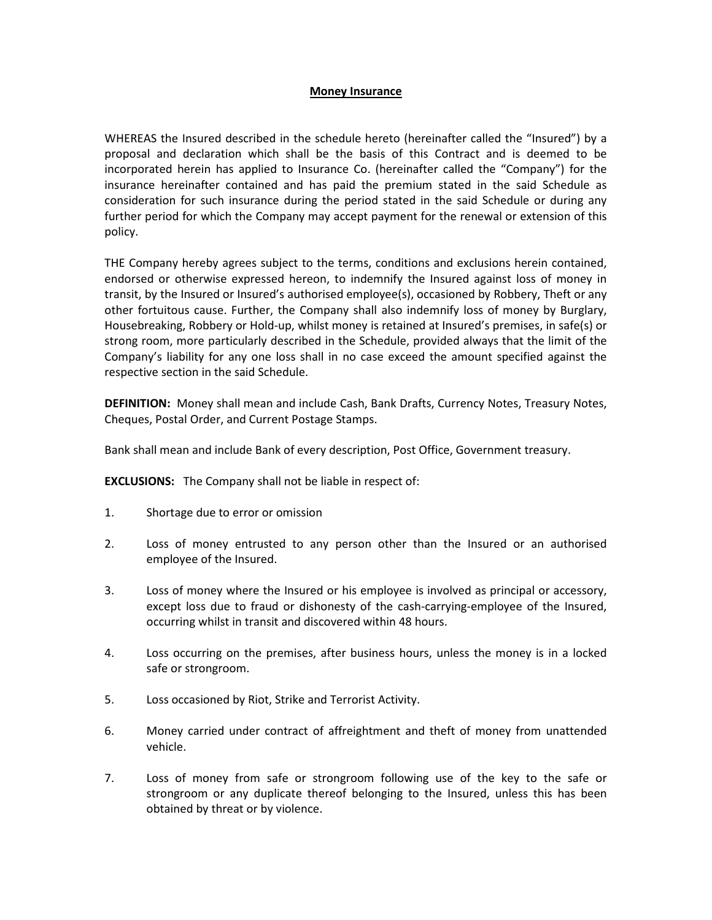### Money Insurance

WHEREAS the Insured described in the schedule hereto (hereinafter called the "Insured") by a proposal and declaration which shall be the basis of this Contract and is deemed to be incorporated herein has applied to Insurance Co. (hereinafter called the "Company") for the insurance hereinafter contained and has paid the premium stated in the said Schedule as consideration for such insurance during the period stated in the said Schedule or during any further period for which the Company may accept payment for the renewal or extension of this policy.

THE Company hereby agrees subject to the terms, conditions and exclusions herein contained, endorsed or otherwise expressed hereon, to indemnify the Insured against loss of money in transit, by the Insured or Insured's authorised employee(s), occasioned by Robbery, Theft or any other fortuitous cause. Further, the Company shall also indemnify loss of money by Burglary, Housebreaking, Robbery or Hold-up, whilst money is retained at Insured's premises, in safe(s) or strong room, more particularly described in the Schedule, provided always that the limit of the Company's liability for any one loss shall in no case exceed the amount specified against the respective section in the said Schedule.

DEFINITION: Money shall mean and include Cash, Bank Drafts, Currency Notes, Treasury Notes, Cheques, Postal Order, and Current Postage Stamps.

Bank shall mean and include Bank of every description, Post Office, Government treasury.

**EXCLUSIONS:** The Company shall not be liable in respect of:

- 1. Shortage due to error or omission
- 2. Loss of money entrusted to any person other than the Insured or an authorised employee of the Insured.
- 3. Loss of money where the Insured or his employee is involved as principal or accessory, except loss due to fraud or dishonesty of the cash-carrying-employee of the Insured, occurring whilst in transit and discovered within 48 hours.
- 4. Loss occurring on the premises, after business hours, unless the money is in a locked safe or strongroom.
- 5. Loss occasioned by Riot, Strike and Terrorist Activity.
- 6. Money carried under contract of affreightment and theft of money from unattended vehicle.
- 7. Loss of money from safe or strongroom following use of the key to the safe or strongroom or any duplicate thereof belonging to the Insured, unless this has been obtained by threat or by violence.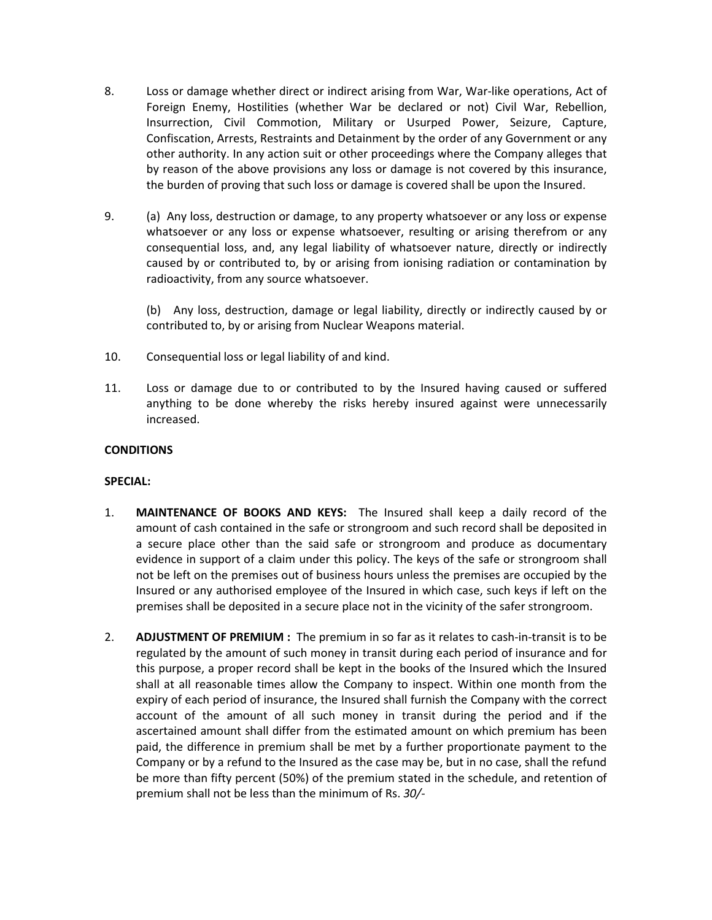- 8. Loss or damage whether direct or indirect arising from War, War-like operations, Act of Foreign Enemy, Hostilities (whether War be declared or not) Civil War, Rebellion, Insurrection, Civil Commotion, Military or Usurped Power, Seizure, Capture, Confiscation, Arrests, Restraints and Detainment by the order of any Government or any other authority. In any action suit or other proceedings where the Company alleges that by reason of the above provisions any loss or damage is not covered by this insurance, the burden of proving that such loss or damage is covered shall be upon the Insured.
- 9. (a) Any loss, destruction or damage, to any property whatsoever or any loss or expense whatsoever or any loss or expense whatsoever, resulting or arising therefrom or any consequential loss, and, any legal liability of whatsoever nature, directly or indirectly caused by or contributed to, by or arising from ionising radiation or contamination by radioactivity, from any source whatsoever.

 (b) Any loss, destruction, damage or legal liability, directly or indirectly caused by or contributed to, by or arising from Nuclear Weapons material.

- 10. Consequential loss or legal liability of and kind.
- 11. Loss or damage due to or contributed to by the Insured having caused or suffered anything to be done whereby the risks hereby insured against were unnecessarily increased.

## **CONDITIONS**

#### SPECIAL:

- 1. MAINTENANCE OF BOOKS AND KEYS: The Insured shall keep a daily record of the amount of cash contained in the safe or strongroom and such record shall be deposited in a secure place other than the said safe or strongroom and produce as documentary evidence in support of a claim under this policy. The keys of the safe or strongroom shall not be left on the premises out of business hours unless the premises are occupied by the Insured or any authorised employee of the Insured in which case, such keys if left on the premises shall be deposited in a secure place not in the vicinity of the safer strongroom.
- 2. **ADJUSTMENT OF PREMIUM**: The premium in so far as it relates to cash-in-transit is to be regulated by the amount of such money in transit during each period of insurance and for this purpose, a proper record shall be kept in the books of the Insured which the Insured shall at all reasonable times allow the Company to inspect. Within one month from the expiry of each period of insurance, the Insured shall furnish the Company with the correct account of the amount of all such money in transit during the period and if the ascertained amount shall differ from the estimated amount on which premium has been paid, the difference in premium shall be met by a further proportionate payment to the Company or by a refund to the Insured as the case may be, but in no case, shall the refund be more than fifty percent (50%) of the premium stated in the schedule, and retention of premium shall not be less than the minimum of Rs. 30/-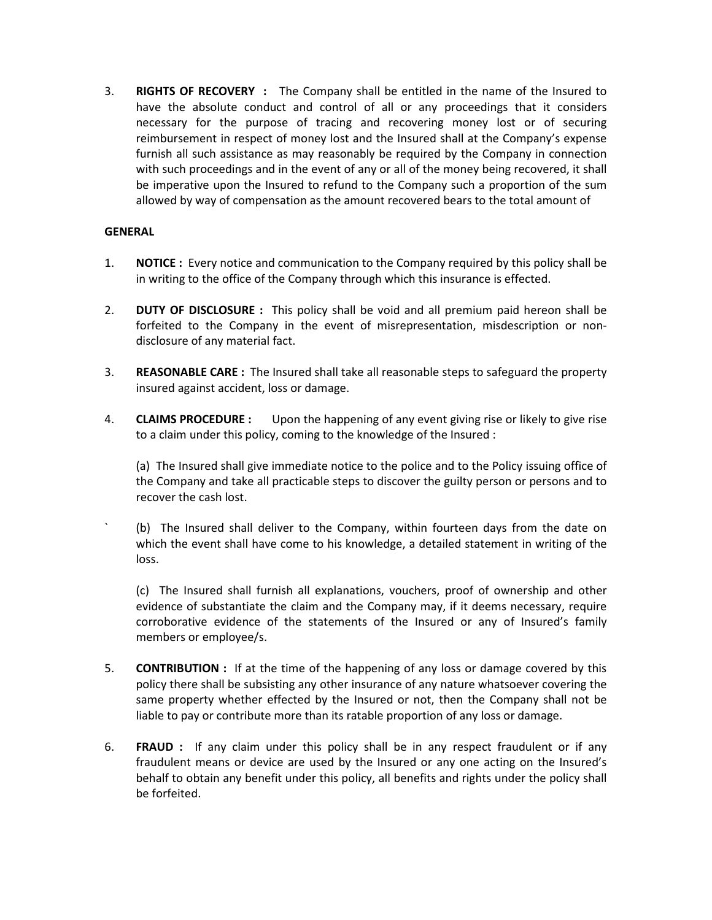3. RIGHTS OF RECOVERY : The Company shall be entitled in the name of the Insured to have the absolute conduct and control of all or any proceedings that it considers necessary for the purpose of tracing and recovering money lost or of securing reimbursement in respect of money lost and the Insured shall at the Company's expense furnish all such assistance as may reasonably be required by the Company in connection with such proceedings and in the event of any or all of the money being recovered, it shall be imperative upon the Insured to refund to the Company such a proportion of the sum allowed by way of compensation as the amount recovered bears to the total amount of

# GENERAL

- 1. NOTICE : Every notice and communication to the Company required by this policy shall be in writing to the office of the Company through which this insurance is effected.
- 2. **DUTY OF DISCLOSURE**: This policy shall be void and all premium paid hereon shall be forfeited to the Company in the event of misrepresentation, misdescription or nondisclosure of any material fact.
- 3. REASONABLE CARE: The Insured shall take all reasonable steps to safeguard the property insured against accident, loss or damage.
- 4. **CLAIMS PROCEDURE**: Upon the happening of any event giving rise or likely to give rise to a claim under this policy, coming to the knowledge of the Insured :

 (a) The Insured shall give immediate notice to the police and to the Policy issuing office of the Company and take all practicable steps to discover the guilty person or persons and to recover the cash lost.

` (b) The Insured shall deliver to the Company, within fourteen days from the date on which the event shall have come to his knowledge, a detailed statement in writing of the loss.

 (c) The Insured shall furnish all explanations, vouchers, proof of ownership and other evidence of substantiate the claim and the Company may, if it deems necessary, require corroborative evidence of the statements of the Insured or any of Insured's family members or employee/s.

- 5. **CONTRIBUTION** : If at the time of the happening of any loss or damage covered by this policy there shall be subsisting any other insurance of any nature whatsoever covering the same property whether effected by the Insured or not, then the Company shall not be liable to pay or contribute more than its ratable proportion of any loss or damage.
- 6. FRAUD : If any claim under this policy shall be in any respect fraudulent or if any fraudulent means or device are used by the Insured or any one acting on the Insured's behalf to obtain any benefit under this policy, all benefits and rights under the policy shall be forfeited.